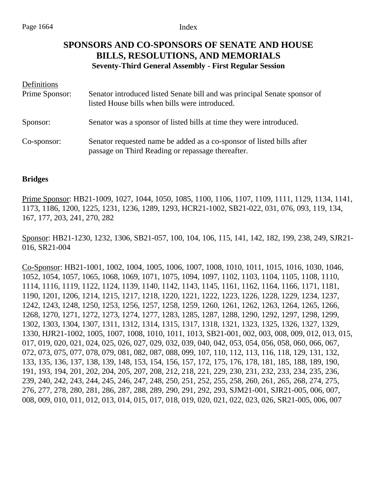# **SPONSORS AND CO-SPONSORS OF SENATE AND HOUSE BILLS, RESOLUTIONS, AND MEMORIALS Seventy-Third General Assembly - First Regular Session**

| Definitions    |                                                                                                                             |
|----------------|-----------------------------------------------------------------------------------------------------------------------------|
| Prime Sponsor: | Senator introduced listed Senate bill and was principal Senate sponsor of<br>listed House bills when bills were introduced. |
| Sponsor:       | Senator was a sponsor of listed bills at time they were introduced.                                                         |
| Co-sponsor:    | Senator requested name be added as a co-sponsor of listed bills after<br>passage on Third Reading or repassage thereafter.  |

## **Bridges**

Prime Sponsor: HB21-1009, 1027, 1044, 1050, 1085, 1100, 1106, 1107, 1109, 1111, 1129, 1134, 1141, 1173, 1186, 1200, 1225, 1231, 1236, 1289, 1293, HCR21-1002, SB21-022, 031, 076, 093, 119, 134, 167, 177, 203, 241, 270, 282

Sponsor: HB21-1230, 1232, 1306, SB21-057, 100, 104, 106, 115, 141, 142, 182, 199, 238, 249, SJR21- 016, SR21-004

Co-Sponsor: HB21-1001, 1002, 1004, 1005, 1006, 1007, 1008, 1010, 1011, 1015, 1016, 1030, 1046, 1052, 1054, 1057, 1065, 1068, 1069, 1071, 1075, 1094, 1097, 1102, 1103, 1104, 1105, 1108, 1110, 1114, 1116, 1119, 1122, 1124, 1139, 1140, 1142, 1143, 1145, 1161, 1162, 1164, 1166, 1171, 1181, 1190, 1201, 1206, 1214, 1215, 1217, 1218, 1220, 1221, 1222, 1223, 1226, 1228, 1229, 1234, 1237, 1242, 1243, 1248, 1250, 1253, 1256, 1257, 1258, 1259, 1260, 1261, 1262, 1263, 1264, 1265, 1266, 1268, 1270, 1271, 1272, 1273, 1274, 1277, 1283, 1285, 1287, 1288, 1290, 1292, 1297, 1298, 1299, 1302, 1303, 1304, 1307, 1311, 1312, 1314, 1315, 1317, 1318, 1321, 1323, 1325, 1326, 1327, 1329, 1330, HJR21-1002, 1005, 1007, 1008, 1010, 1011, 1013, SB21-001, 002, 003, 008, 009, 012, 013, 015, 017, 019, 020, 021, 024, 025, 026, 027, 029, 032, 039, 040, 042, 053, 054, 056, 058, 060, 066, 067, 072, 073, 075, 077, 078, 079, 081, 082, 087, 088, 099, 107, 110, 112, 113, 116, 118, 129, 131, 132, 133, 135, 136, 137, 138, 139, 148, 153, 154, 156, 157, 172, 175, 176, 178, 181, 185, 188, 189, 190, 191, 193, 194, 201, 202, 204, 205, 207, 208, 212, 218, 221, 229, 230, 231, 232, 233, 234, 235, 236, 239, 240, 242, 243, 244, 245, 246, 247, 248, 250, 251, 252, 255, 258, 260, 261, 265, 268, 274, 275, 276, 277, 278, 280, 281, 286, 287, 288, 289, 290, 291, 292, 293, SJM21-001, SJR21-005, 006, 007, 008, 009, 010, 011, 012, 013, 014, 015, 017, 018, 019, 020, 021, 022, 023, 026, SR21-005, 006, 007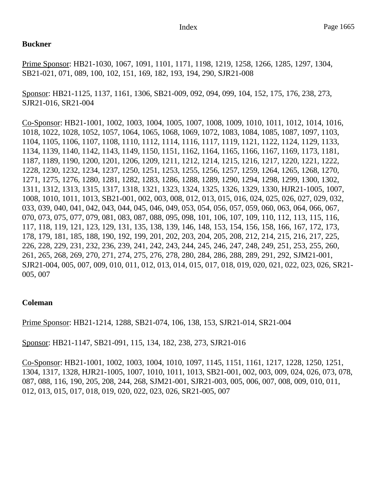### **Buckner**

Prime Sponsor: HB21-1030, 1067, 1091, 1101, 1171, 1198, 1219, 1258, 1266, 1285, 1297, 1304, SB21-021, 071, 089, 100, 102, 151, 169, 182, 193, 194, 290, SJR21-008

Sponsor: HB21-1125, 1137, 1161, 1306, SB21-009, 092, 094, 099, 104, 152, 175, 176, 238, 273, SJR21-016, SR21-004

Co-Sponsor: HB21-1001, 1002, 1003, 1004, 1005, 1007, 1008, 1009, 1010, 1011, 1012, 1014, 1016, 1018, 1022, 1028, 1052, 1057, 1064, 1065, 1068, 1069, 1072, 1083, 1084, 1085, 1087, 1097, 1103, 1104, 1105, 1106, 1107, 1108, 1110, 1112, 1114, 1116, 1117, 1119, 1121, 1122, 1124, 1129, 1133, 1134, 1139, 1140, 1142, 1143, 1149, 1150, 1151, 1162, 1164, 1165, 1166, 1167, 1169, 1173, 1181, 1187, 1189, 1190, 1200, 1201, 1206, 1209, 1211, 1212, 1214, 1215, 1216, 1217, 1220, 1221, 1222, 1228, 1230, 1232, 1234, 1237, 1250, 1251, 1253, 1255, 1256, 1257, 1259, 1264, 1265, 1268, 1270, 1271, 1275, 1276, 1280, 1281, 1282, 1283, 1286, 1288, 1289, 1290, 1294, 1298, 1299, 1300, 1302, 1311, 1312, 1313, 1315, 1317, 1318, 1321, 1323, 1324, 1325, 1326, 1329, 1330, HJR21-1005, 1007, 1008, 1010, 1011, 1013, SB21-001, 002, 003, 008, 012, 013, 015, 016, 024, 025, 026, 027, 029, 032, 033, 039, 040, 041, 042, 043, 044, 045, 046, 049, 053, 054, 056, 057, 059, 060, 063, 064, 066, 067, 070, 073, 075, 077, 079, 081, 083, 087, 088, 095, 098, 101, 106, 107, 109, 110, 112, 113, 115, 116, 117, 118, 119, 121, 123, 129, 131, 135, 138, 139, 146, 148, 153, 154, 156, 158, 166, 167, 172, 173, 178, 179, 181, 185, 188, 190, 192, 199, 201, 202, 203, 204, 205, 208, 212, 214, 215, 216, 217, 225, 226, 228, 229, 231, 232, 236, 239, 241, 242, 243, 244, 245, 246, 247, 248, 249, 251, 253, 255, 260, 261, 265, 268, 269, 270, 271, 274, 275, 276, 278, 280, 284, 286, 288, 289, 291, 292, SJM21-001, SJR21-004, 005, 007, 009, 010, 011, 012, 013, 014, 015, 017, 018, 019, 020, 021, 022, 023, 026, SR21- 005, 007

## **Coleman**

Prime Sponsor: HB21-1214, 1288, SB21-074, 106, 138, 153, SJR21-014, SR21-004

Sponsor: HB21-1147, SB21-091, 115, 134, 182, 238, 273, SJR21-016

Co-Sponsor: HB21-1001, 1002, 1003, 1004, 1010, 1097, 1145, 1151, 1161, 1217, 1228, 1250, 1251, 1304, 1317, 1328, HJR21-1005, 1007, 1010, 1011, 1013, SB21-001, 002, 003, 009, 024, 026, 073, 078, 087, 088, 116, 190, 205, 208, 244, 268, SJM21-001, SJR21-003, 005, 006, 007, 008, 009, 010, 011, 012, 013, 015, 017, 018, 019, 020, 022, 023, 026, SR21-005, 007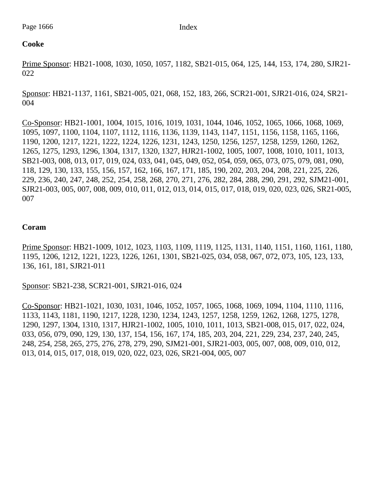## **Cooke**

Prime Sponsor: HB21-1008, 1030, 1050, 1057, 1182, SB21-015, 064, 125, 144, 153, 174, 280, SJR21- 022

Sponsor: HB21-1137, 1161, SB21-005, 021, 068, 152, 183, 266, SCR21-001, SJR21-016, 024, SR21- 004

Co-Sponsor: HB21-1001, 1004, 1015, 1016, 1019, 1031, 1044, 1046, 1052, 1065, 1066, 1068, 1069, 1095, 1097, 1100, 1104, 1107, 1112, 1116, 1136, 1139, 1143, 1147, 1151, 1156, 1158, 1165, 1166, 1190, 1200, 1217, 1221, 1222, 1224, 1226, 1231, 1243, 1250, 1256, 1257, 1258, 1259, 1260, 1262, 1265, 1275, 1293, 1296, 1304, 1317, 1320, 1327, HJR21-1002, 1005, 1007, 1008, 1010, 1011, 1013, SB21-003, 008, 013, 017, 019, 024, 033, 041, 045, 049, 052, 054, 059, 065, 073, 075, 079, 081, 090, 118, 129, 130, 133, 155, 156, 157, 162, 166, 167, 171, 185, 190, 202, 203, 204, 208, 221, 225, 226, 229, 236, 240, 247, 248, 252, 254, 258, 268, 270, 271, 276, 282, 284, 288, 290, 291, 292, SJM21-001, SJR21-003, 005, 007, 008, 009, 010, 011, 012, 013, 014, 015, 017, 018, 019, 020, 023, 026, SR21-005, 007

## **Coram**

Prime Sponsor: HB21-1009, 1012, 1023, 1103, 1109, 1119, 1125, 1131, 1140, 1151, 1160, 1161, 1180, 1195, 1206, 1212, 1221, 1223, 1226, 1261, 1301, SB21-025, 034, 058, 067, 072, 073, 105, 123, 133, 136, 161, 181, SJR21-011

Sponsor: SB21-238, SCR21-001, SJR21-016, 024

Co-Sponsor: HB21-1021, 1030, 1031, 1046, 1052, 1057, 1065, 1068, 1069, 1094, 1104, 1110, 1116, 1133, 1143, 1181, 1190, 1217, 1228, 1230, 1234, 1243, 1257, 1258, 1259, 1262, 1268, 1275, 1278, 1290, 1297, 1304, 1310, 1317, HJR21-1002, 1005, 1010, 1011, 1013, SB21-008, 015, 017, 022, 024, 033, 056, 079, 090, 129, 130, 137, 154, 156, 167, 174, 185, 203, 204, 221, 229, 234, 237, 240, 245, 248, 254, 258, 265, 275, 276, 278, 279, 290, SJM21-001, SJR21-003, 005, 007, 008, 009, 010, 012, 013, 014, 015, 017, 018, 019, 020, 022, 023, 026, SR21-004, 005, 007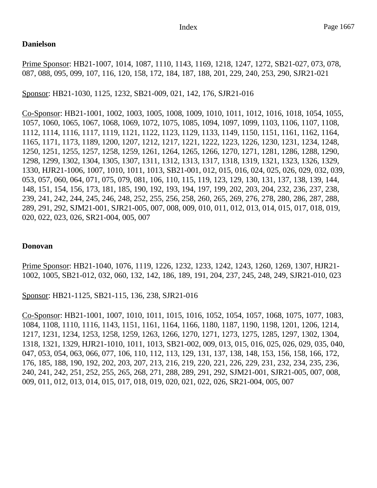## **Danielson**

Prime Sponsor: HB21-1007, 1014, 1087, 1110, 1143, 1169, 1218, 1247, 1272, SB21-027, 073, 078, 087, 088, 095, 099, 107, 116, 120, 158, 172, 184, 187, 188, 201, 229, 240, 253, 290, SJR21-021

Sponsor: HB21-1030, 1125, 1232, SB21-009, 021, 142, 176, SJR21-016

Co-Sponsor: HB21-1001, 1002, 1003, 1005, 1008, 1009, 1010, 1011, 1012, 1016, 1018, 1054, 1055, 1057, 1060, 1065, 1067, 1068, 1069, 1072, 1075, 1085, 1094, 1097, 1099, 1103, 1106, 1107, 1108, 1112, 1114, 1116, 1117, 1119, 1121, 1122, 1123, 1129, 1133, 1149, 1150, 1151, 1161, 1162, 1164, 1165, 1171, 1173, 1189, 1200, 1207, 1212, 1217, 1221, 1222, 1223, 1226, 1230, 1231, 1234, 1248, 1250, 1251, 1255, 1257, 1258, 1259, 1261, 1264, 1265, 1266, 1270, 1271, 1281, 1286, 1288, 1290, 1298, 1299, 1302, 1304, 1305, 1307, 1311, 1312, 1313, 1317, 1318, 1319, 1321, 1323, 1326, 1329, 1330, HJR21-1006, 1007, 1010, 1011, 1013, SB21-001, 012, 015, 016, 024, 025, 026, 029, 032, 039, 053, 057, 060, 064, 071, 075, 079, 081, 106, 110, 115, 119, 123, 129, 130, 131, 137, 138, 139, 144, 148, 151, 154, 156, 173, 181, 185, 190, 192, 193, 194, 197, 199, 202, 203, 204, 232, 236, 237, 238, 239, 241, 242, 244, 245, 246, 248, 252, 255, 256, 258, 260, 265, 269, 276, 278, 280, 286, 287, 288, 289, 291, 292, SJM21-001, SJR21-005, 007, 008, 009, 010, 011, 012, 013, 014, 015, 017, 018, 019, 020, 022, 023, 026, SR21-004, 005, 007

## **Donovan**

Prime Sponsor: HB21-1040, 1076, 1119, 1226, 1232, 1233, 1242, 1243, 1260, 1269, 1307, HJR21- 1002, 1005, SB21-012, 032, 060, 132, 142, 186, 189, 191, 204, 237, 245, 248, 249, SJR21-010, 023

Sponsor: HB21-1125, SB21-115, 136, 238, SJR21-016

Co-Sponsor: HB21-1001, 1007, 1010, 1011, 1015, 1016, 1052, 1054, 1057, 1068, 1075, 1077, 1083, 1084, 1108, 1110, 1116, 1143, 1151, 1161, 1164, 1166, 1180, 1187, 1190, 1198, 1201, 1206, 1214, 1217, 1231, 1234, 1253, 1258, 1259, 1263, 1266, 1270, 1271, 1273, 1275, 1285, 1297, 1302, 1304, 1318, 1321, 1329, HJR21-1010, 1011, 1013, SB21-002, 009, 013, 015, 016, 025, 026, 029, 035, 040, 047, 053, 054, 063, 066, 077, 106, 110, 112, 113, 129, 131, 137, 138, 148, 153, 156, 158, 166, 172, 176, 185, 188, 190, 192, 202, 203, 207, 213, 216, 219, 220, 221, 226, 229, 231, 232, 234, 235, 236, 240, 241, 242, 251, 252, 255, 265, 268, 271, 288, 289, 291, 292, SJM21-001, SJR21-005, 007, 008, 009, 011, 012, 013, 014, 015, 017, 018, 019, 020, 021, 022, 026, SR21-004, 005, 007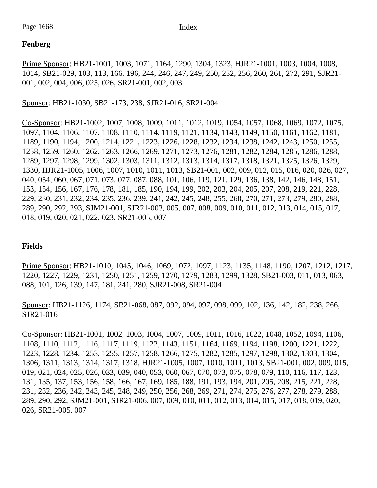## **Fenberg**

Prime Sponsor: HB21-1001, 1003, 1071, 1164, 1290, 1304, 1323, HJR21-1001, 1003, 1004, 1008, 1014, SB21-029, 103, 113, 166, 196, 244, 246, 247, 249, 250, 252, 256, 260, 261, 272, 291, SJR21- 001, 002, 004, 006, 025, 026, SR21-001, 002, 003

Sponsor: HB21-1030, SB21-173, 238, SJR21-016, SR21-004

Co-Sponsor: HB21-1002, 1007, 1008, 1009, 1011, 1012, 1019, 1054, 1057, 1068, 1069, 1072, 1075, 1097, 1104, 1106, 1107, 1108, 1110, 1114, 1119, 1121, 1134, 1143, 1149, 1150, 1161, 1162, 1181, 1189, 1190, 1194, 1200, 1214, 1221, 1223, 1226, 1228, 1232, 1234, 1238, 1242, 1243, 1250, 1255, 1258, 1259, 1260, 1262, 1263, 1266, 1269, 1271, 1273, 1276, 1281, 1282, 1284, 1285, 1286, 1288, 1289, 1297, 1298, 1299, 1302, 1303, 1311, 1312, 1313, 1314, 1317, 1318, 1321, 1325, 1326, 1329, 1330, HJR21-1005, 1006, 1007, 1010, 1011, 1013, SB21-001, 002, 009, 012, 015, 016, 020, 026, 027, 040, 054, 060, 067, 071, 073, 077, 087, 088, 101, 106, 119, 121, 129, 136, 138, 142, 146, 148, 151, 153, 154, 156, 167, 176, 178, 181, 185, 190, 194, 199, 202, 203, 204, 205, 207, 208, 219, 221, 228, 229, 230, 231, 232, 234, 235, 236, 239, 241, 242, 245, 248, 255, 268, 270, 271, 273, 279, 280, 288, 289, 290, 292, 293, SJM21-001, SJR21-003, 005, 007, 008, 009, 010, 011, 012, 013, 014, 015, 017, 018, 019, 020, 021, 022, 023, SR21-005, 007

## **Fields**

Prime Sponsor: HB21-1010, 1045, 1046, 1069, 1072, 1097, 1123, 1135, 1148, 1190, 1207, 1212, 1217, 1220, 1227, 1229, 1231, 1250, 1251, 1259, 1270, 1279, 1283, 1299, 1328, SB21-003, 011, 013, 063, 088, 101, 126, 139, 147, 181, 241, 280, SJR21-008, SR21-004

Sponsor: HB21-1126, 1174, SB21-068, 087, 092, 094, 097, 098, 099, 102, 136, 142, 182, 238, 266, SJR21-016

Co-Sponsor: HB21-1001, 1002, 1003, 1004, 1007, 1009, 1011, 1016, 1022, 1048, 1052, 1094, 1106, 1108, 1110, 1112, 1116, 1117, 1119, 1122, 1143, 1151, 1164, 1169, 1194, 1198, 1200, 1221, 1222, 1223, 1228, 1234, 1253, 1255, 1257, 1258, 1266, 1275, 1282, 1285, 1297, 1298, 1302, 1303, 1304, 1306, 1311, 1313, 1314, 1317, 1318, HJR21-1005, 1007, 1010, 1011, 1013, SB21-001, 002, 009, 015, 019, 021, 024, 025, 026, 033, 039, 040, 053, 060, 067, 070, 073, 075, 078, 079, 110, 116, 117, 123, 131, 135, 137, 153, 156, 158, 166, 167, 169, 185, 188, 191, 193, 194, 201, 205, 208, 215, 221, 228, 231, 232, 236, 242, 243, 245, 248, 249, 250, 256, 268, 269, 271, 274, 275, 276, 277, 278, 279, 288, 289, 290, 292, SJM21-001, SJR21-006, 007, 009, 010, 011, 012, 013, 014, 015, 017, 018, 019, 020, 026, SR21-005, 007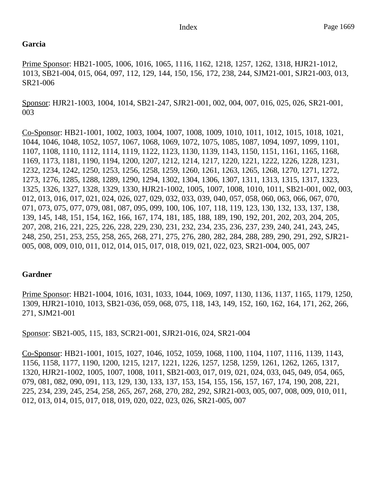## **Garcia**

Prime Sponsor: HB21-1005, 1006, 1016, 1065, 1116, 1162, 1218, 1257, 1262, 1318, HJR21-1012, 1013, SB21-004, 015, 064, 097, 112, 129, 144, 150, 156, 172, 238, 244, SJM21-001, SJR21-003, 013, SR21-006

Sponsor: HJR21-1003, 1004, 1014, SB21-247, SJR21-001, 002, 004, 007, 016, 025, 026, SR21-001, 003

Co-Sponsor: HB21-1001, 1002, 1003, 1004, 1007, 1008, 1009, 1010, 1011, 1012, 1015, 1018, 1021, 1044, 1046, 1048, 1052, 1057, 1067, 1068, 1069, 1072, 1075, 1085, 1087, 1094, 1097, 1099, 1101, 1107, 1108, 1110, 1112, 1114, 1119, 1122, 1123, 1130, 1139, 1143, 1150, 1151, 1161, 1165, 1168, 1169, 1173, 1181, 1190, 1194, 1200, 1207, 1212, 1214, 1217, 1220, 1221, 1222, 1226, 1228, 1231, 1232, 1234, 1242, 1250, 1253, 1256, 1258, 1259, 1260, 1261, 1263, 1265, 1268, 1270, 1271, 1272, 1273, 1276, 1285, 1288, 1289, 1290, 1294, 1302, 1304, 1306, 1307, 1311, 1313, 1315, 1317, 1323, 1325, 1326, 1327, 1328, 1329, 1330, HJR21-1002, 1005, 1007, 1008, 1010, 1011, SB21-001, 002, 003, 012, 013, 016, 017, 021, 024, 026, 027, 029, 032, 033, 039, 040, 057, 058, 060, 063, 066, 067, 070, 071, 073, 075, 077, 079, 081, 087, 095, 099, 100, 106, 107, 118, 119, 123, 130, 132, 133, 137, 138, 139, 145, 148, 151, 154, 162, 166, 167, 174, 181, 185, 188, 189, 190, 192, 201, 202, 203, 204, 205, 207, 208, 216, 221, 225, 226, 228, 229, 230, 231, 232, 234, 235, 236, 237, 239, 240, 241, 243, 245, 248, 250, 251, 253, 255, 258, 265, 268, 271, 275, 276, 280, 282, 284, 288, 289, 290, 291, 292, SJR21- 005, 008, 009, 010, 011, 012, 014, 015, 017, 018, 019, 021, 022, 023, SR21-004, 005, 007

## **Gardner**

Prime Sponsor: HB21-1004, 1016, 1031, 1033, 1044, 1069, 1097, 1130, 1136, 1137, 1165, 1179, 1250, 1309, HJR21-1010, 1013, SB21-036, 059, 068, 075, 118, 143, 149, 152, 160, 162, 164, 171, 262, 266, 271, SJM21-001

Sponsor: SB21-005, 115, 183, SCR21-001, SJR21-016, 024, SR21-004

Co-Sponsor: HB21-1001, 1015, 1027, 1046, 1052, 1059, 1068, 1100, 1104, 1107, 1116, 1139, 1143, 1156, 1158, 1177, 1190, 1200, 1215, 1217, 1221, 1226, 1257, 1258, 1259, 1261, 1262, 1265, 1317, 1320, HJR21-1002, 1005, 1007, 1008, 1011, SB21-003, 017, 019, 021, 024, 033, 045, 049, 054, 065, 079, 081, 082, 090, 091, 113, 129, 130, 133, 137, 153, 154, 155, 156, 157, 167, 174, 190, 208, 221, 225, 234, 239, 245, 254, 258, 265, 267, 268, 270, 282, 292, SJR21-003, 005, 007, 008, 009, 010, 011, 012, 013, 014, 015, 017, 018, 019, 020, 022, 023, 026, SR21-005, 007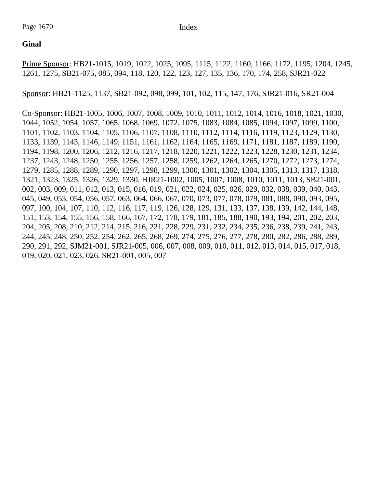## **Ginal**

Prime Sponsor: HB21-1015, 1019, 1022, 1025, 1095, 1115, 1122, 1160, 1166, 1172, 1195, 1204, 1245, 1261, 1275, SB21-075, 085, 094, 118, 120, 122, 123, 127, 135, 136, 170, 174, 258, SJR21-022

Sponsor: HB21-1125, 1137, SB21-092, 098, 099, 101, 102, 115, 147, 176, SJR21-016, SR21-004

Co-Sponsor: HB21-1005, 1006, 1007, 1008, 1009, 1010, 1011, 1012, 1014, 1016, 1018, 1021, 1030, 1044, 1052, 1054, 1057, 1065, 1068, 1069, 1072, 1075, 1083, 1084, 1085, 1094, 1097, 1099, 1100, 1101, 1102, 1103, 1104, 1105, 1106, 1107, 1108, 1110, 1112, 1114, 1116, 1119, 1123, 1129, 1130, 1133, 1139, 1143, 1146, 1149, 1151, 1161, 1162, 1164, 1165, 1169, 1171, 1181, 1187, 1189, 1190, 1194, 1198, 1200, 1206, 1212, 1216, 1217, 1218, 1220, 1221, 1222, 1223, 1228, 1230, 1231, 1234, 1237, 1243, 1248, 1250, 1255, 1256, 1257, 1258, 1259, 1262, 1264, 1265, 1270, 1272, 1273, 1274, 1279, 1285, 1288, 1289, 1290, 1297, 1298, 1299, 1300, 1301, 1302, 1304, 1305, 1313, 1317, 1318, 1321, 1323, 1325, 1326, 1329, 1330, HJR21-1002, 1005, 1007, 1008, 1010, 1011, 1013, SB21-001, 002, 003, 009, 011, 012, 013, 015, 016, 019, 021, 022, 024, 025, 026, 029, 032, 038, 039, 040, 043, 045, 049, 053, 054, 056, 057, 063, 064, 066, 067, 070, 073, 077, 078, 079, 081, 088, 090, 093, 095, 097, 100, 104, 107, 110, 112, 116, 117, 119, 126, 128, 129, 131, 133, 137, 138, 139, 142, 144, 148, 151, 153, 154, 155, 156, 158, 166, 167, 172, 178, 179, 181, 185, 188, 190, 193, 194, 201, 202, 203, 204, 205, 208, 210, 212, 214, 215, 216, 221, 228, 229, 231, 232, 234, 235, 236, 238, 239, 241, 243, 244, 245, 248, 250, 252, 254, 262, 265, 268, 269, 274, 275, 276, 277, 278, 280, 282, 286, 288, 289, 290, 291, 292, SJM21-001, SJR21-005, 006, 007, 008, 009, 010, 011, 012, 013, 014, 015, 017, 018, 019, 020, 021, 023, 026, SR21-001, 005, 007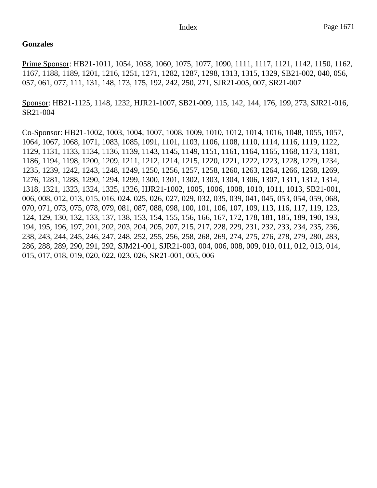## **Gonzales**

Prime Sponsor: HB21-1011, 1054, 1058, 1060, 1075, 1077, 1090, 1111, 1117, 1121, 1142, 1150, 1162, 1167, 1188, 1189, 1201, 1216, 1251, 1271, 1282, 1287, 1298, 1313, 1315, 1329, SB21-002, 040, 056, 057, 061, 077, 111, 131, 148, 173, 175, 192, 242, 250, 271, SJR21-005, 007, SR21-007

Sponsor: HB21-1125, 1148, 1232, HJR21-1007, SB21-009, 115, 142, 144, 176, 199, 273, SJR21-016, SR21-004

Co-Sponsor: HB21-1002, 1003, 1004, 1007, 1008, 1009, 1010, 1012, 1014, 1016, 1048, 1055, 1057, 1064, 1067, 1068, 1071, 1083, 1085, 1091, 1101, 1103, 1106, 1108, 1110, 1114, 1116, 1119, 1122, 1129, 1131, 1133, 1134, 1136, 1139, 1143, 1145, 1149, 1151, 1161, 1164, 1165, 1168, 1173, 1181, 1186, 1194, 1198, 1200, 1209, 1211, 1212, 1214, 1215, 1220, 1221, 1222, 1223, 1228, 1229, 1234, 1235, 1239, 1242, 1243, 1248, 1249, 1250, 1256, 1257, 1258, 1260, 1263, 1264, 1266, 1268, 1269, 1276, 1281, 1288, 1290, 1294, 1299, 1300, 1301, 1302, 1303, 1304, 1306, 1307, 1311, 1312, 1314, 1318, 1321, 1323, 1324, 1325, 1326, HJR21-1002, 1005, 1006, 1008, 1010, 1011, 1013, SB21-001, 006, 008, 012, 013, 015, 016, 024, 025, 026, 027, 029, 032, 035, 039, 041, 045, 053, 054, 059, 068, 070, 071, 073, 075, 078, 079, 081, 087, 088, 098, 100, 101, 106, 107, 109, 113, 116, 117, 119, 123, 124, 129, 130, 132, 133, 137, 138, 153, 154, 155, 156, 166, 167, 172, 178, 181, 185, 189, 190, 193, 194, 195, 196, 197, 201, 202, 203, 204, 205, 207, 215, 217, 228, 229, 231, 232, 233, 234, 235, 236, 238, 243, 244, 245, 246, 247, 248, 252, 255, 256, 258, 268, 269, 274, 275, 276, 278, 279, 280, 283, 286, 288, 289, 290, 291, 292, SJM21-001, SJR21-003, 004, 006, 008, 009, 010, 011, 012, 013, 014, 015, 017, 018, 019, 020, 022, 023, 026, SR21-001, 005, 006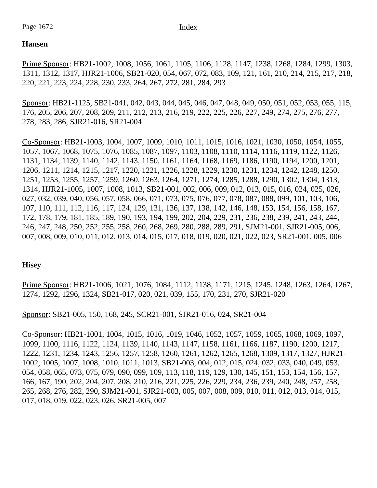Page 1672 Index

## **Hansen**

Prime Sponsor: HB21-1002, 1008, 1056, 1061, 1105, 1106, 1128, 1147, 1238, 1268, 1284, 1299, 1303, 1311, 1312, 1317, HJR21-1006, SB21-020, 054, 067, 072, 083, 109, 121, 161, 210, 214, 215, 217, 218, 220, 221, 223, 224, 228, 230, 233, 264, 267, 272, 281, 284, 293

Sponsor: HB21-1125, SB21-041, 042, 043, 044, 045, 046, 047, 048, 049, 050, 051, 052, 053, 055, 115, 176, 205, 206, 207, 208, 209, 211, 212, 213, 216, 219, 222, 225, 226, 227, 249, 274, 275, 276, 277, 278, 283, 286, SJR21-016, SR21-004

Co-Sponsor: HB21-1003, 1004, 1007, 1009, 1010, 1011, 1015, 1016, 1021, 1030, 1050, 1054, 1055, 1057, 1067, 1068, 1075, 1076, 1085, 1087, 1097, 1103, 1108, 1110, 1114, 1116, 1119, 1122, 1126, 1131, 1134, 1139, 1140, 1142, 1143, 1150, 1161, 1164, 1168, 1169, 1186, 1190, 1194, 1200, 1201, 1206, 1211, 1214, 1215, 1217, 1220, 1221, 1226, 1228, 1229, 1230, 1231, 1234, 1242, 1248, 1250, 1251, 1253, 1255, 1257, 1259, 1260, 1263, 1264, 1271, 1274, 1285, 1288, 1290, 1302, 1304, 1313, 1314, HJR21-1005, 1007, 1008, 1013, SB21-001, 002, 006, 009, 012, 013, 015, 016, 024, 025, 026, 027, 032, 039, 040, 056, 057, 058, 066, 071, 073, 075, 076, 077, 078, 087, 088, 099, 101, 103, 106, 107, 110, 111, 112, 116, 117, 124, 129, 131, 136, 137, 138, 142, 146, 148, 153, 154, 156, 158, 167, 172, 178, 179, 181, 185, 189, 190, 193, 194, 199, 202, 204, 229, 231, 236, 238, 239, 241, 243, 244, 246, 247, 248, 250, 252, 255, 258, 260, 268, 269, 280, 288, 289, 291, SJM21-001, SJR21-005, 006, 007, 008, 009, 010, 011, 012, 013, 014, 015, 017, 018, 019, 020, 021, 022, 023, SR21-001, 005, 006

## **Hisey**

Prime Sponsor: HB21-1006, 1021, 1076, 1084, 1112, 1138, 1171, 1215, 1245, 1248, 1263, 1264, 1267, 1274, 1292, 1296, 1324, SB21-017, 020, 021, 039, 155, 170, 231, 270, SJR21-020

Sponsor: SB21-005, 150, 168, 245, SCR21-001, SJR21-016, 024, SR21-004

Co-Sponsor: HB21-1001, 1004, 1015, 1016, 1019, 1046, 1052, 1057, 1059, 1065, 1068, 1069, 1097, 1099, 1100, 1116, 1122, 1124, 1139, 1140, 1143, 1147, 1158, 1161, 1166, 1187, 1190, 1200, 1217, 1222, 1231, 1234, 1243, 1256, 1257, 1258, 1260, 1261, 1262, 1265, 1268, 1309, 1317, 1327, HJR21- 1002, 1005, 1007, 1008, 1010, 1011, 1013, SB21-003, 004, 012, 015, 024, 032, 033, 040, 049, 053, 054, 058, 065, 073, 075, 079, 090, 099, 109, 113, 118, 119, 129, 130, 145, 151, 153, 154, 156, 157, 166, 167, 190, 202, 204, 207, 208, 210, 216, 221, 225, 226, 229, 234, 236, 239, 240, 248, 257, 258, 265, 268, 276, 282, 290, SJM21-001, SJR21-003, 005, 007, 008, 009, 010, 011, 012, 013, 014, 015, 017, 018, 019, 022, 023, 026, SR21-005, 007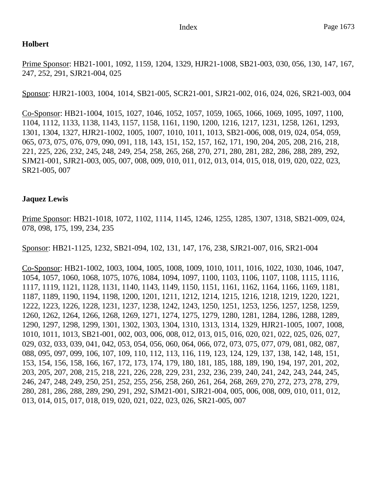## **Holbert**

Prime Sponsor: HB21-1001, 1092, 1159, 1204, 1329, HJR21-1008, SB21-003, 030, 056, 130, 147, 167, 247, 252, 291, SJR21-004, 025

Sponsor: HJR21-1003, 1004, 1014, SB21-005, SCR21-001, SJR21-002, 016, 024, 026, SR21-003, 004

Co-Sponsor: HB21-1004, 1015, 1027, 1046, 1052, 1057, 1059, 1065, 1066, 1069, 1095, 1097, 1100, 1104, 1112, 1133, 1138, 1143, 1157, 1158, 1161, 1190, 1200, 1216, 1217, 1231, 1258, 1261, 1293, 1301, 1304, 1327, HJR21-1002, 1005, 1007, 1010, 1011, 1013, SB21-006, 008, 019, 024, 054, 059, 065, 073, 075, 076, 079, 090, 091, 118, 143, 151, 152, 157, 162, 171, 190, 204, 205, 208, 216, 218, 221, 225, 226, 232, 245, 248, 249, 254, 258, 265, 268, 270, 271, 280, 281, 282, 286, 288, 289, 292, SJM21-001, SJR21-003, 005, 007, 008, 009, 010, 011, 012, 013, 014, 015, 018, 019, 020, 022, 023, SR21-005, 007

## **Jaquez Lewis**

Prime Sponsor: HB21-1018, 1072, 1102, 1114, 1145, 1246, 1255, 1285, 1307, 1318, SB21-009, 024, 078, 098, 175, 199, 234, 235

Sponsor: HB21-1125, 1232, SB21-094, 102, 131, 147, 176, 238, SJR21-007, 016, SR21-004

Co-Sponsor: HB21-1002, 1003, 1004, 1005, 1008, 1009, 1010, 1011, 1016, 1022, 1030, 1046, 1047, 1054, 1057, 1060, 1068, 1075, 1076, 1084, 1094, 1097, 1100, 1103, 1106, 1107, 1108, 1115, 1116, 1117, 1119, 1121, 1128, 1131, 1140, 1143, 1149, 1150, 1151, 1161, 1162, 1164, 1166, 1169, 1181, 1187, 1189, 1190, 1194, 1198, 1200, 1201, 1211, 1212, 1214, 1215, 1216, 1218, 1219, 1220, 1221, 1222, 1223, 1226, 1228, 1231, 1237, 1238, 1242, 1243, 1250, 1251, 1253, 1256, 1257, 1258, 1259, 1260, 1262, 1264, 1266, 1268, 1269, 1271, 1274, 1275, 1279, 1280, 1281, 1284, 1286, 1288, 1289, 1290, 1297, 1298, 1299, 1301, 1302, 1303, 1304, 1310, 1313, 1314, 1329, HJR21-1005, 1007, 1008, 1010, 1011, 1013, SB21-001, 002, 003, 006, 008, 012, 013, 015, 016, 020, 021, 022, 025, 026, 027, 029, 032, 033, 039, 041, 042, 053, 054, 056, 060, 064, 066, 072, 073, 075, 077, 079, 081, 082, 087, 088, 095, 097, 099, 106, 107, 109, 110, 112, 113, 116, 119, 123, 124, 129, 137, 138, 142, 148, 151, 153, 154, 156, 158, 166, 167, 172, 173, 174, 179, 180, 181, 185, 188, 189, 190, 194, 197, 201, 202, 203, 205, 207, 208, 215, 218, 221, 226, 228, 229, 231, 232, 236, 239, 240, 241, 242, 243, 244, 245, 246, 247, 248, 249, 250, 251, 252, 255, 256, 258, 260, 261, 264, 268, 269, 270, 272, 273, 278, 279, 280, 281, 286, 288, 289, 290, 291, 292, SJM21-001, SJR21-004, 005, 006, 008, 009, 010, 011, 012, 013, 014, 015, 017, 018, 019, 020, 021, 022, 023, 026, SR21-005, 007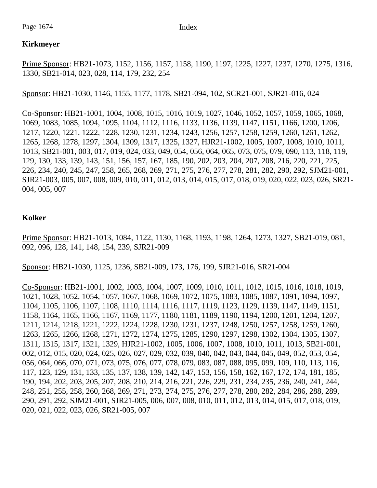## **Kirkmeyer**

Prime Sponsor: HB21-1073, 1152, 1156, 1157, 1158, 1190, 1197, 1225, 1227, 1237, 1270, 1275, 1316, 1330, SB21-014, 023, 028, 114, 179, 232, 254

Sponsor: HB21-1030, 1146, 1155, 1177, 1178, SB21-094, 102, SCR21-001, SJR21-016, 024

Co-Sponsor: HB21-1001, 1004, 1008, 1015, 1016, 1019, 1027, 1046, 1052, 1057, 1059, 1065, 1068, 1069, 1083, 1085, 1094, 1095, 1104, 1112, 1116, 1133, 1136, 1139, 1147, 1151, 1166, 1200, 1206, 1217, 1220, 1221, 1222, 1228, 1230, 1231, 1234, 1243, 1256, 1257, 1258, 1259, 1260, 1261, 1262, 1265, 1268, 1278, 1297, 1304, 1309, 1317, 1325, 1327, HJR21-1002, 1005, 1007, 1008, 1010, 1011, 1013, SB21-001, 003, 017, 019, 024, 033, 049, 054, 056, 064, 065, 073, 075, 079, 090, 113, 118, 119, 129, 130, 133, 139, 143, 151, 156, 157, 167, 185, 190, 202, 203, 204, 207, 208, 216, 220, 221, 225, 226, 234, 240, 245, 247, 258, 265, 268, 269, 271, 275, 276, 277, 278, 281, 282, 290, 292, SJM21-001, SJR21-003, 005, 007, 008, 009, 010, 011, 012, 013, 014, 015, 017, 018, 019, 020, 022, 023, 026, SR21- 004, 005, 007

## **Kolker**

Prime Sponsor: HB21-1013, 1084, 1122, 1130, 1168, 1193, 1198, 1264, 1273, 1327, SB21-019, 081, 092, 096, 128, 141, 148, 154, 239, SJR21-009

Sponsor: HB21-1030, 1125, 1236, SB21-009, 173, 176, 199, SJR21-016, SR21-004

Co-Sponsor: HB21-1001, 1002, 1003, 1004, 1007, 1009, 1010, 1011, 1012, 1015, 1016, 1018, 1019, 1021, 1028, 1052, 1054, 1057, 1067, 1068, 1069, 1072, 1075, 1083, 1085, 1087, 1091, 1094, 1097, 1104, 1105, 1106, 1107, 1108, 1110, 1114, 1116, 1117, 1119, 1123, 1129, 1139, 1147, 1149, 1151, 1158, 1164, 1165, 1166, 1167, 1169, 1177, 1180, 1181, 1189, 1190, 1194, 1200, 1201, 1204, 1207, 1211, 1214, 1218, 1221, 1222, 1224, 1228, 1230, 1231, 1237, 1248, 1250, 1257, 1258, 1259, 1260, 1263, 1265, 1266, 1268, 1271, 1272, 1274, 1275, 1285, 1290, 1297, 1298, 1302, 1304, 1305, 1307, 1311, 1315, 1317, 1321, 1329, HJR21-1002, 1005, 1006, 1007, 1008, 1010, 1011, 1013, SB21-001, 002, 012, 015, 020, 024, 025, 026, 027, 029, 032, 039, 040, 042, 043, 044, 045, 049, 052, 053, 054, 056, 064, 066, 070, 071, 073, 075, 076, 077, 078, 079, 083, 087, 088, 095, 099, 109, 110, 113, 116, 117, 123, 129, 131, 133, 135, 137, 138, 139, 142, 147, 153, 156, 158, 162, 167, 172, 174, 181, 185, 190, 194, 202, 203, 205, 207, 208, 210, 214, 216, 221, 226, 229, 231, 234, 235, 236, 240, 241, 244, 248, 251, 255, 258, 260, 268, 269, 271, 273, 274, 275, 276, 277, 278, 280, 282, 284, 286, 288, 289, 290, 291, 292, SJM21-001, SJR21-005, 006, 007, 008, 010, 011, 012, 013, 014, 015, 017, 018, 019, 020, 021, 022, 023, 026, SR21-005, 007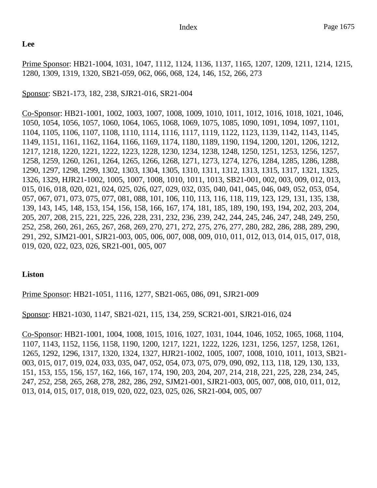## **Lee**

Prime Sponsor: HB21-1004, 1031, 1047, 1112, 1124, 1136, 1137, 1165, 1207, 1209, 1211, 1214, 1215, 1280, 1309, 1319, 1320, SB21-059, 062, 066, 068, 124, 146, 152, 266, 273

## Sponsor: SB21-173, 182, 238, SJR21-016, SR21-004

Co-Sponsor: HB21-1001, 1002, 1003, 1007, 1008, 1009, 1010, 1011, 1012, 1016, 1018, 1021, 1046, 1050, 1054, 1056, 1057, 1060, 1064, 1065, 1068, 1069, 1075, 1085, 1090, 1091, 1094, 1097, 1101, 1104, 1105, 1106, 1107, 1108, 1110, 1114, 1116, 1117, 1119, 1122, 1123, 1139, 1142, 1143, 1145, 1149, 1151, 1161, 1162, 1164, 1166, 1169, 1174, 1180, 1189, 1190, 1194, 1200, 1201, 1206, 1212, 1217, 1218, 1220, 1221, 1222, 1223, 1228, 1230, 1234, 1238, 1248, 1250, 1251, 1253, 1256, 1257, 1258, 1259, 1260, 1261, 1264, 1265, 1266, 1268, 1271, 1273, 1274, 1276, 1284, 1285, 1286, 1288, 1290, 1297, 1298, 1299, 1302, 1303, 1304, 1305, 1310, 1311, 1312, 1313, 1315, 1317, 1321, 1325, 1326, 1329, HJR21-1002, 1005, 1007, 1008, 1010, 1011, 1013, SB21-001, 002, 003, 009, 012, 013, 015, 016, 018, 020, 021, 024, 025, 026, 027, 029, 032, 035, 040, 041, 045, 046, 049, 052, 053, 054, 057, 067, 071, 073, 075, 077, 081, 088, 101, 106, 110, 113, 116, 118, 119, 123, 129, 131, 135, 138, 139, 143, 145, 148, 153, 154, 156, 158, 166, 167, 174, 181, 185, 189, 190, 193, 194, 202, 203, 204, 205, 207, 208, 215, 221, 225, 226, 228, 231, 232, 236, 239, 242, 244, 245, 246, 247, 248, 249, 250, 252, 258, 260, 261, 265, 267, 268, 269, 270, 271, 272, 275, 276, 277, 280, 282, 286, 288, 289, 290, 291, 292, SJM21-001, SJR21-003, 005, 006, 007, 008, 009, 010, 011, 012, 013, 014, 015, 017, 018, 019, 020, 022, 023, 026, SR21-001, 005, 007

## **Liston**

Prime Sponsor: HB21-1051, 1116, 1277, SB21-065, 086, 091, SJR21-009

Sponsor: HB21-1030, 1147, SB21-021, 115, 134, 259, SCR21-001, SJR21-016, 024

Co-Sponsor: HB21-1001, 1004, 1008, 1015, 1016, 1027, 1031, 1044, 1046, 1052, 1065, 1068, 1104, 1107, 1143, 1152, 1156, 1158, 1190, 1200, 1217, 1221, 1222, 1226, 1231, 1256, 1257, 1258, 1261, 1265, 1292, 1296, 1317, 1320, 1324, 1327, HJR21-1002, 1005, 1007, 1008, 1010, 1011, 1013, SB21- 003, 015, 017, 019, 024, 033, 035, 047, 052, 054, 073, 075, 079, 090, 092, 113, 118, 129, 130, 133, 151, 153, 155, 156, 157, 162, 166, 167, 174, 190, 203, 204, 207, 214, 218, 221, 225, 228, 234, 245, 247, 252, 258, 265, 268, 278, 282, 286, 292, SJM21-001, SJR21-003, 005, 007, 008, 010, 011, 012, 013, 014, 015, 017, 018, 019, 020, 022, 023, 025, 026, SR21-004, 005, 007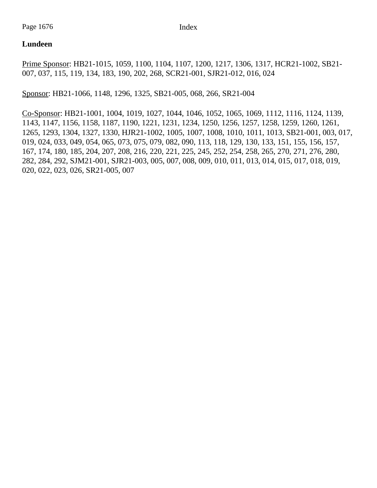## **Lundeen**

Prime Sponsor: HB21-1015, 1059, 1100, 1104, 1107, 1200, 1217, 1306, 1317, HCR21-1002, SB21- 007, 037, 115, 119, 134, 183, 190, 202, 268, SCR21-001, SJR21-012, 016, 024

Sponsor: HB21-1066, 1148, 1296, 1325, SB21-005, 068, 266, SR21-004

Co-Sponsor: HB21-1001, 1004, 1019, 1027, 1044, 1046, 1052, 1065, 1069, 1112, 1116, 1124, 1139, 1143, 1147, 1156, 1158, 1187, 1190, 1221, 1231, 1234, 1250, 1256, 1257, 1258, 1259, 1260, 1261, 1265, 1293, 1304, 1327, 1330, HJR21-1002, 1005, 1007, 1008, 1010, 1011, 1013, SB21-001, 003, 017, 019, 024, 033, 049, 054, 065, 073, 075, 079, 082, 090, 113, 118, 129, 130, 133, 151, 155, 156, 157, 167, 174, 180, 185, 204, 207, 208, 216, 220, 221, 225, 245, 252, 254, 258, 265, 270, 271, 276, 280, 282, 284, 292, SJM21-001, SJR21-003, 005, 007, 008, 009, 010, 011, 013, 014, 015, 017, 018, 019, 020, 022, 023, 026, SR21-005, 007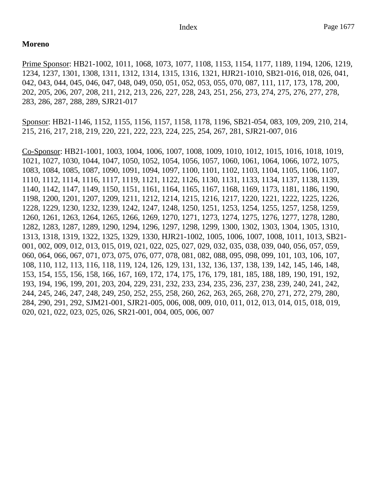### **Moreno**

Prime Sponsor: HB21-1002, 1011, 1068, 1073, 1077, 1108, 1153, 1154, 1177, 1189, 1194, 1206, 1219, 1234, 1237, 1301, 1308, 1311, 1312, 1314, 1315, 1316, 1321, HJR21-1010, SB21-016, 018, 026, 041, 042, 043, 044, 045, 046, 047, 048, 049, 050, 051, 052, 053, 055, 070, 087, 111, 117, 173, 178, 200, 202, 205, 206, 207, 208, 211, 212, 213, 226, 227, 228, 243, 251, 256, 273, 274, 275, 276, 277, 278, 283, 286, 287, 288, 289, SJR21-017

Sponsor: HB21-1146, 1152, 1155, 1156, 1157, 1158, 1178, 1196, SB21-054, 083, 109, 209, 210, 214, 215, 216, 217, 218, 219, 220, 221, 222, 223, 224, 225, 254, 267, 281, SJR21-007, 016

Co-Sponsor: HB21-1001, 1003, 1004, 1006, 1007, 1008, 1009, 1010, 1012, 1015, 1016, 1018, 1019, 1021, 1027, 1030, 1044, 1047, 1050, 1052, 1054, 1056, 1057, 1060, 1061, 1064, 1066, 1072, 1075, 1083, 1084, 1085, 1087, 1090, 1091, 1094, 1097, 1100, 1101, 1102, 1103, 1104, 1105, 1106, 1107, 1110, 1112, 1114, 1116, 1117, 1119, 1121, 1122, 1126, 1130, 1131, 1133, 1134, 1137, 1138, 1139, 1140, 1142, 1147, 1149, 1150, 1151, 1161, 1164, 1165, 1167, 1168, 1169, 1173, 1181, 1186, 1190, 1198, 1200, 1201, 1207, 1209, 1211, 1212, 1214, 1215, 1216, 1217, 1220, 1221, 1222, 1225, 1226, 1228, 1229, 1230, 1232, 1239, 1242, 1247, 1248, 1250, 1251, 1253, 1254, 1255, 1257, 1258, 1259, 1260, 1261, 1263, 1264, 1265, 1266, 1269, 1270, 1271, 1273, 1274, 1275, 1276, 1277, 1278, 1280, 1282, 1283, 1287, 1289, 1290, 1294, 1296, 1297, 1298, 1299, 1300, 1302, 1303, 1304, 1305, 1310, 1313, 1318, 1319, 1322, 1325, 1329, 1330, HJR21-1002, 1005, 1006, 1007, 1008, 1011, 1013, SB21- 001, 002, 009, 012, 013, 015, 019, 021, 022, 025, 027, 029, 032, 035, 038, 039, 040, 056, 057, 059, 060, 064, 066, 067, 071, 073, 075, 076, 077, 078, 081, 082, 088, 095, 098, 099, 101, 103, 106, 107, 108, 110, 112, 113, 116, 118, 119, 124, 126, 129, 131, 132, 136, 137, 138, 139, 142, 145, 146, 148, 153, 154, 155, 156, 158, 166, 167, 169, 172, 174, 175, 176, 179, 181, 185, 188, 189, 190, 191, 192, 193, 194, 196, 199, 201, 203, 204, 229, 231, 232, 233, 234, 235, 236, 237, 238, 239, 240, 241, 242, 244, 245, 246, 247, 248, 249, 250, 252, 255, 258, 260, 262, 263, 265, 268, 270, 271, 272, 279, 280, 284, 290, 291, 292, SJM21-001, SJR21-005, 006, 008, 009, 010, 011, 012, 013, 014, 015, 018, 019, 020, 021, 022, 023, 025, 026, SR21-001, 004, 005, 006, 007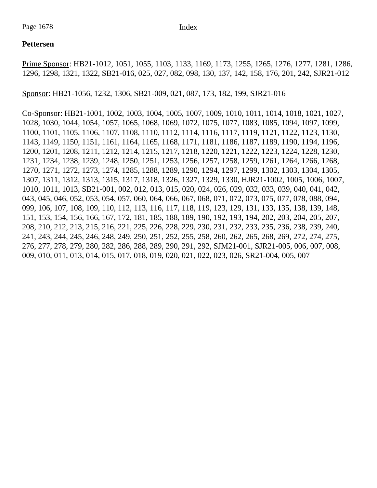## **Pettersen**

Prime Sponsor: HB21-1012, 1051, 1055, 1103, 1133, 1169, 1173, 1255, 1265, 1276, 1277, 1281, 1286, 1296, 1298, 1321, 1322, SB21-016, 025, 027, 082, 098, 130, 137, 142, 158, 176, 201, 242, SJR21-012

Sponsor: HB21-1056, 1232, 1306, SB21-009, 021, 087, 173, 182, 199, SJR21-016

Co-Sponsor: HB21-1001, 1002, 1003, 1004, 1005, 1007, 1009, 1010, 1011, 1014, 1018, 1021, 1027, 1028, 1030, 1044, 1054, 1057, 1065, 1068, 1069, 1072, 1075, 1077, 1083, 1085, 1094, 1097, 1099, 1100, 1101, 1105, 1106, 1107, 1108, 1110, 1112, 1114, 1116, 1117, 1119, 1121, 1122, 1123, 1130, 1143, 1149, 1150, 1151, 1161, 1164, 1165, 1168, 1171, 1181, 1186, 1187, 1189, 1190, 1194, 1196, 1200, 1201, 1208, 1211, 1212, 1214, 1215, 1217, 1218, 1220, 1221, 1222, 1223, 1224, 1228, 1230, 1231, 1234, 1238, 1239, 1248, 1250, 1251, 1253, 1256, 1257, 1258, 1259, 1261, 1264, 1266, 1268, 1270, 1271, 1272, 1273, 1274, 1285, 1288, 1289, 1290, 1294, 1297, 1299, 1302, 1303, 1304, 1305, 1307, 1311, 1312, 1313, 1315, 1317, 1318, 1326, 1327, 1329, 1330, HJR21-1002, 1005, 1006, 1007, 1010, 1011, 1013, SB21-001, 002, 012, 013, 015, 020, 024, 026, 029, 032, 033, 039, 040, 041, 042, 043, 045, 046, 052, 053, 054, 057, 060, 064, 066, 067, 068, 071, 072, 073, 075, 077, 078, 088, 094, 099, 106, 107, 108, 109, 110, 112, 113, 116, 117, 118, 119, 123, 129, 131, 133, 135, 138, 139, 148, 151, 153, 154, 156, 166, 167, 172, 181, 185, 188, 189, 190, 192, 193, 194, 202, 203, 204, 205, 207, 208, 210, 212, 213, 215, 216, 221, 225, 226, 228, 229, 230, 231, 232, 233, 235, 236, 238, 239, 240, 241, 243, 244, 245, 246, 248, 249, 250, 251, 252, 255, 258, 260, 262, 265, 268, 269, 272, 274, 275, 276, 277, 278, 279, 280, 282, 286, 288, 289, 290, 291, 292, SJM21-001, SJR21-005, 006, 007, 008, 009, 010, 011, 013, 014, 015, 017, 018, 019, 020, 021, 022, 023, 026, SR21-004, 005, 007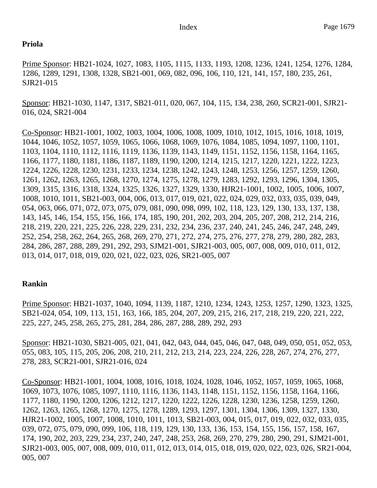#### **Priola**

Prime Sponsor: HB21-1024, 1027, 1083, 1105, 1115, 1133, 1193, 1208, 1236, 1241, 1254, 1276, 1284, 1286, 1289, 1291, 1308, 1328, SB21-001, 069, 082, 096, 106, 110, 121, 141, 157, 180, 235, 261, SJR21-015

Sponsor: HB21-1030, 1147, 1317, SB21-011, 020, 067, 104, 115, 134, 238, 260, SCR21-001, SJR21- 016, 024, SR21-004

Co-Sponsor: HB21-1001, 1002, 1003, 1004, 1006, 1008, 1009, 1010, 1012, 1015, 1016, 1018, 1019, 1044, 1046, 1052, 1057, 1059, 1065, 1066, 1068, 1069, 1076, 1084, 1085, 1094, 1097, 1100, 1101, 1103, 1104, 1110, 1112, 1116, 1119, 1136, 1139, 1143, 1149, 1151, 1152, 1156, 1158, 1164, 1165, 1166, 1177, 1180, 1181, 1186, 1187, 1189, 1190, 1200, 1214, 1215, 1217, 1220, 1221, 1222, 1223, 1224, 1226, 1228, 1230, 1231, 1233, 1234, 1238, 1242, 1243, 1248, 1253, 1256, 1257, 1259, 1260, 1261, 1262, 1263, 1265, 1268, 1270, 1274, 1275, 1278, 1279, 1283, 1292, 1293, 1296, 1304, 1305, 1309, 1315, 1316, 1318, 1324, 1325, 1326, 1327, 1329, 1330, HJR21-1001, 1002, 1005, 1006, 1007, 1008, 1010, 1011, SB21-003, 004, 006, 013, 017, 019, 021, 022, 024, 029, 032, 033, 035, 039, 049, 054, 063, 066, 071, 072, 073, 075, 079, 081, 090, 098, 099, 102, 118, 123, 129, 130, 133, 137, 138, 143, 145, 146, 154, 155, 156, 166, 174, 185, 190, 201, 202, 203, 204, 205, 207, 208, 212, 214, 216, 218, 219, 220, 221, 225, 226, 228, 229, 231, 232, 234, 236, 237, 240, 241, 245, 246, 247, 248, 249, 252, 254, 258, 262, 264, 265, 268, 269, 270, 271, 272, 274, 275, 276, 277, 278, 279, 280, 282, 283, 284, 286, 287, 288, 289, 291, 292, 293, SJM21-001, SJR21-003, 005, 007, 008, 009, 010, 011, 012, 013, 014, 017, 018, 019, 020, 021, 022, 023, 026, SR21-005, 007

## **Rankin**

Prime Sponsor: HB21-1037, 1040, 1094, 1139, 1187, 1210, 1234, 1243, 1253, 1257, 1290, 1323, 1325, SB21-024, 054, 109, 113, 151, 163, 166, 185, 204, 207, 209, 215, 216, 217, 218, 219, 220, 221, 222, 225, 227, 245, 258, 265, 275, 281, 284, 286, 287, 288, 289, 292, 293

Sponsor: HB21-1030, SB21-005, 021, 041, 042, 043, 044, 045, 046, 047, 048, 049, 050, 051, 052, 053, 055, 083, 105, 115, 205, 206, 208, 210, 211, 212, 213, 214, 223, 224, 226, 228, 267, 274, 276, 277, 278, 283, SCR21-001, SJR21-016, 024

Co-Sponsor: HB21-1001, 1004, 1008, 1016, 1018, 1024, 1028, 1046, 1052, 1057, 1059, 1065, 1068, 1069, 1073, 1076, 1085, 1097, 1110, 1116, 1136, 1143, 1148, 1151, 1152, 1156, 1158, 1164, 1166, 1177, 1180, 1190, 1200, 1206, 1212, 1217, 1220, 1222, 1226, 1228, 1230, 1236, 1258, 1259, 1260, 1262, 1263, 1265, 1268, 1270, 1275, 1278, 1289, 1293, 1297, 1301, 1304, 1306, 1309, 1327, 1330, HJR21-1002, 1005, 1007, 1008, 1010, 1011, 1013, SB21-003, 004, 015, 017, 019, 022, 032, 033, 035, 039, 072, 075, 079, 090, 099, 106, 118, 119, 129, 130, 133, 136, 153, 154, 155, 156, 157, 158, 167, 174, 190, 202, 203, 229, 234, 237, 240, 247, 248, 253, 268, 269, 270, 279, 280, 290, 291, SJM21-001, SJR21-003, 005, 007, 008, 009, 010, 011, 012, 013, 014, 015, 018, 019, 020, 022, 023, 026, SR21-004, 005, 007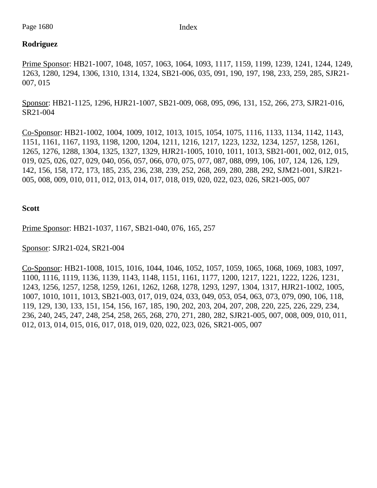## **Rodriguez**

Prime Sponsor: HB21-1007, 1048, 1057, 1063, 1064, 1093, 1117, 1159, 1199, 1239, 1241, 1244, 1249, 1263, 1280, 1294, 1306, 1310, 1314, 1324, SB21-006, 035, 091, 190, 197, 198, 233, 259, 285, SJR21- 007, 015

Sponsor: HB21-1125, 1296, HJR21-1007, SB21-009, 068, 095, 096, 131, 152, 266, 273, SJR21-016, SR21-004

Co-Sponsor: HB21-1002, 1004, 1009, 1012, 1013, 1015, 1054, 1075, 1116, 1133, 1134, 1142, 1143, 1151, 1161, 1167, 1193, 1198, 1200, 1204, 1211, 1216, 1217, 1223, 1232, 1234, 1257, 1258, 1261, 1265, 1276, 1288, 1304, 1325, 1327, 1329, HJR21-1005, 1010, 1011, 1013, SB21-001, 002, 012, 015, 019, 025, 026, 027, 029, 040, 056, 057, 066, 070, 075, 077, 087, 088, 099, 106, 107, 124, 126, 129, 142, 156, 158, 172, 173, 185, 235, 236, 238, 239, 252, 268, 269, 280, 288, 292, SJM21-001, SJR21- 005, 008, 009, 010, 011, 012, 013, 014, 017, 018, 019, 020, 022, 023, 026, SR21-005, 007

**Scott**

Prime Sponsor: HB21-1037, 1167, SB21-040, 076, 165, 257

Sponsor: SJR21-024, SR21-004

Co-Sponsor: HB21-1008, 1015, 1016, 1044, 1046, 1052, 1057, 1059, 1065, 1068, 1069, 1083, 1097, 1100, 1116, 1119, 1136, 1139, 1143, 1148, 1151, 1161, 1177, 1200, 1217, 1221, 1222, 1226, 1231, 1243, 1256, 1257, 1258, 1259, 1261, 1262, 1268, 1278, 1293, 1297, 1304, 1317, HJR21-1002, 1005, 1007, 1010, 1011, 1013, SB21-003, 017, 019, 024, 033, 049, 053, 054, 063, 073, 079, 090, 106, 118, 119, 129, 130, 133, 151, 154, 156, 167, 185, 190, 202, 203, 204, 207, 208, 220, 225, 226, 229, 234, 236, 240, 245, 247, 248, 254, 258, 265, 268, 270, 271, 280, 282, SJR21-005, 007, 008, 009, 010, 011, 012, 013, 014, 015, 016, 017, 018, 019, 020, 022, 023, 026, SR21-005, 007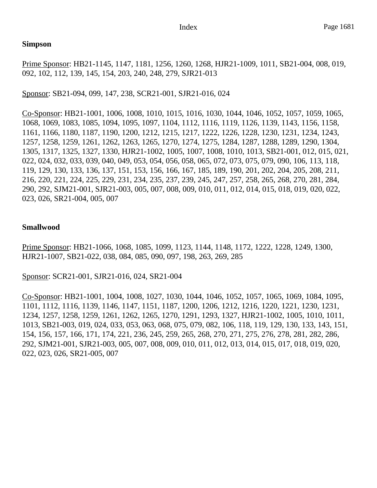### **Simpson**

Prime Sponsor: HB21-1145, 1147, 1181, 1256, 1260, 1268, HJR21-1009, 1011, SB21-004, 008, 019, 092, 102, 112, 139, 145, 154, 203, 240, 248, 279, SJR21-013

Sponsor: SB21-094, 099, 147, 238, SCR21-001, SJR21-016, 024

Co-Sponsor: HB21-1001, 1006, 1008, 1010, 1015, 1016, 1030, 1044, 1046, 1052, 1057, 1059, 1065, 1068, 1069, 1083, 1085, 1094, 1095, 1097, 1104, 1112, 1116, 1119, 1126, 1139, 1143, 1156, 1158, 1161, 1166, 1180, 1187, 1190, 1200, 1212, 1215, 1217, 1222, 1226, 1228, 1230, 1231, 1234, 1243, 1257, 1258, 1259, 1261, 1262, 1263, 1265, 1270, 1274, 1275, 1284, 1287, 1288, 1289, 1290, 1304, 1305, 1317, 1325, 1327, 1330, HJR21-1002, 1005, 1007, 1008, 1010, 1013, SB21-001, 012, 015, 021, 022, 024, 032, 033, 039, 040, 049, 053, 054, 056, 058, 065, 072, 073, 075, 079, 090, 106, 113, 118, 119, 129, 130, 133, 136, 137, 151, 153, 156, 166, 167, 185, 189, 190, 201, 202, 204, 205, 208, 211, 216, 220, 221, 224, 225, 229, 231, 234, 235, 237, 239, 245, 247, 257, 258, 265, 268, 270, 281, 284, 290, 292, SJM21-001, SJR21-003, 005, 007, 008, 009, 010, 011, 012, 014, 015, 018, 019, 020, 022, 023, 026, SR21-004, 005, 007

## **Smallwood**

Prime Sponsor: HB21-1066, 1068, 1085, 1099, 1123, 1144, 1148, 1172, 1222, 1228, 1249, 1300, HJR21-1007, SB21-022, 038, 084, 085, 090, 097, 198, 263, 269, 285

Sponsor: SCR21-001, SJR21-016, 024, SR21-004

Co-Sponsor: HB21-1001, 1004, 1008, 1027, 1030, 1044, 1046, 1052, 1057, 1065, 1069, 1084, 1095, 1101, 1112, 1116, 1139, 1146, 1147, 1151, 1187, 1200, 1206, 1212, 1216, 1220, 1221, 1230, 1231, 1234, 1257, 1258, 1259, 1261, 1262, 1265, 1270, 1291, 1293, 1327, HJR21-1002, 1005, 1010, 1011, 1013, SB21-003, 019, 024, 033, 053, 063, 068, 075, 079, 082, 106, 118, 119, 129, 130, 133, 143, 151, 154, 156, 157, 166, 171, 174, 221, 236, 245, 259, 265, 268, 270, 271, 275, 276, 278, 281, 282, 286, 292, SJM21-001, SJR21-003, 005, 007, 008, 009, 010, 011, 012, 013, 014, 015, 017, 018, 019, 020, 022, 023, 026, SR21-005, 007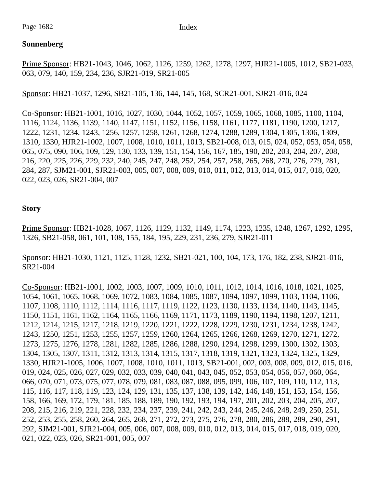## **Sonnenberg**

Prime Sponsor: HB21-1043, 1046, 1062, 1126, 1259, 1262, 1278, 1297, HJR21-1005, 1012, SB21-033, 063, 079, 140, 159, 234, 236, SJR21-019, SR21-005

Sponsor: HB21-1037, 1296, SB21-105, 136, 144, 145, 168, SCR21-001, SJR21-016, 024

Co-Sponsor: HB21-1001, 1016, 1027, 1030, 1044, 1052, 1057, 1059, 1065, 1068, 1085, 1100, 1104, 1116, 1124, 1136, 1139, 1140, 1147, 1151, 1152, 1156, 1158, 1161, 1177, 1181, 1190, 1200, 1217, 1222, 1231, 1234, 1243, 1256, 1257, 1258, 1261, 1268, 1274, 1288, 1289, 1304, 1305, 1306, 1309, 1310, 1330, HJR21-1002, 1007, 1008, 1010, 1011, 1013, SB21-008, 013, 015, 024, 052, 053, 054, 058, 065, 075, 090, 106, 109, 129, 130, 133, 139, 151, 154, 156, 167, 185, 190, 202, 203, 204, 207, 208, 216, 220, 225, 226, 229, 232, 240, 245, 247, 248, 252, 254, 257, 258, 265, 268, 270, 276, 279, 281, 284, 287, SJM21-001, SJR21-003, 005, 007, 008, 009, 010, 011, 012, 013, 014, 015, 017, 018, 020, 022, 023, 026, SR21-004, 007

## **Story**

Prime Sponsor: HB21-1028, 1067, 1126, 1129, 1132, 1149, 1174, 1223, 1235, 1248, 1267, 1292, 1295, 1326, SB21-058, 061, 101, 108, 155, 184, 195, 229, 231, 236, 279, SJR21-011

Sponsor: HB21-1030, 1121, 1125, 1128, 1232, SB21-021, 100, 104, 173, 176, 182, 238, SJR21-016, SR21-004

Co-Sponsor: HB21-1001, 1002, 1003, 1007, 1009, 1010, 1011, 1012, 1014, 1016, 1018, 1021, 1025, 1054, 1061, 1065, 1068, 1069, 1072, 1083, 1084, 1085, 1087, 1094, 1097, 1099, 1103, 1104, 1106, 1107, 1108, 1110, 1112, 1114, 1116, 1117, 1119, 1122, 1123, 1130, 1133, 1134, 1140, 1143, 1145, 1150, 1151, 1161, 1162, 1164, 1165, 1166, 1169, 1171, 1173, 1189, 1190, 1194, 1198, 1207, 1211, 1212, 1214, 1215, 1217, 1218, 1219, 1220, 1221, 1222, 1228, 1229, 1230, 1231, 1234, 1238, 1242, 1243, 1250, 1251, 1253, 1255, 1257, 1259, 1260, 1264, 1265, 1266, 1268, 1269, 1270, 1271, 1272, 1273, 1275, 1276, 1278, 1281, 1282, 1285, 1286, 1288, 1290, 1294, 1298, 1299, 1300, 1302, 1303, 1304, 1305, 1307, 1311, 1312, 1313, 1314, 1315, 1317, 1318, 1319, 1321, 1323, 1324, 1325, 1329, 1330, HJR21-1005, 1006, 1007, 1008, 1010, 1011, 1013, SB21-001, 002, 003, 008, 009, 012, 015, 016, 019, 024, 025, 026, 027, 029, 032, 033, 039, 040, 041, 043, 045, 052, 053, 054, 056, 057, 060, 064, 066, 070, 071, 073, 075, 077, 078, 079, 081, 083, 087, 088, 095, 099, 106, 107, 109, 110, 112, 113, 115, 116, 117, 118, 119, 123, 124, 129, 131, 135, 137, 138, 139, 142, 146, 148, 151, 153, 154, 156, 158, 166, 169, 172, 179, 181, 185, 188, 189, 190, 192, 193, 194, 197, 201, 202, 203, 204, 205, 207, 208, 215, 216, 219, 221, 228, 232, 234, 237, 239, 241, 242, 243, 244, 245, 246, 248, 249, 250, 251, 252, 253, 255, 258, 260, 264, 265, 268, 271, 272, 273, 275, 276, 278, 280, 286, 288, 289, 290, 291, 292, SJM21-001, SJR21-004, 005, 006, 007, 008, 009, 010, 012, 013, 014, 015, 017, 018, 019, 020, 021, 022, 023, 026, SR21-001, 005, 007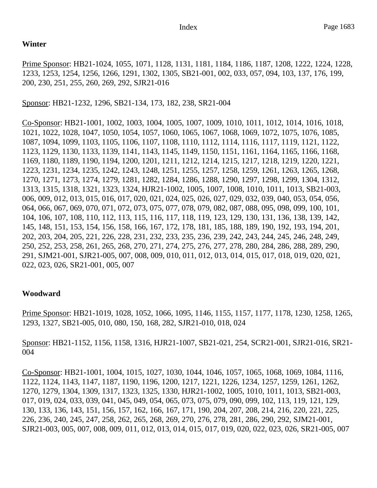### **Winter**

Prime Sponsor: HB21-1024, 1055, 1071, 1128, 1131, 1181, 1184, 1186, 1187, 1208, 1222, 1224, 1228, 1233, 1253, 1254, 1256, 1266, 1291, 1302, 1305, SB21-001, 002, 033, 057, 094, 103, 137, 176, 199, 200, 230, 251, 255, 260, 269, 292, SJR21-016

Sponsor: HB21-1232, 1296, SB21-134, 173, 182, 238, SR21-004

Co-Sponsor: HB21-1001, 1002, 1003, 1004, 1005, 1007, 1009, 1010, 1011, 1012, 1014, 1016, 1018, 1021, 1022, 1028, 1047, 1050, 1054, 1057, 1060, 1065, 1067, 1068, 1069, 1072, 1075, 1076, 1085, 1087, 1094, 1099, 1103, 1105, 1106, 1107, 1108, 1110, 1112, 1114, 1116, 1117, 1119, 1121, 1122, 1123, 1129, 1130, 1133, 1139, 1141, 1143, 1145, 1149, 1150, 1151, 1161, 1164, 1165, 1166, 1168, 1169, 1180, 1189, 1190, 1194, 1200, 1201, 1211, 1212, 1214, 1215, 1217, 1218, 1219, 1220, 1221, 1223, 1231, 1234, 1235, 1242, 1243, 1248, 1251, 1255, 1257, 1258, 1259, 1261, 1263, 1265, 1268, 1270, 1271, 1273, 1274, 1279, 1281, 1282, 1284, 1286, 1288, 1290, 1297, 1298, 1299, 1304, 1312, 1313, 1315, 1318, 1321, 1323, 1324, HJR21-1002, 1005, 1007, 1008, 1010, 1011, 1013, SB21-003, 006, 009, 012, 013, 015, 016, 017, 020, 021, 024, 025, 026, 027, 029, 032, 039, 040, 053, 054, 056, 064, 066, 067, 069, 070, 071, 072, 073, 075, 077, 078, 079, 082, 087, 088, 095, 098, 099, 100, 101, 104, 106, 107, 108, 110, 112, 113, 115, 116, 117, 118, 119, 123, 129, 130, 131, 136, 138, 139, 142, 145, 148, 151, 153, 154, 156, 158, 166, 167, 172, 178, 181, 185, 188, 189, 190, 192, 193, 194, 201, 202, 203, 204, 205, 221, 226, 228, 231, 232, 233, 235, 236, 239, 242, 243, 244, 245, 246, 248, 249, 250, 252, 253, 258, 261, 265, 268, 270, 271, 274, 275, 276, 277, 278, 280, 284, 286, 288, 289, 290, 291, SJM21-001, SJR21-005, 007, 008, 009, 010, 011, 012, 013, 014, 015, 017, 018, 019, 020, 021, 022, 023, 026, SR21-001, 005, 007

## **Woodward**

Prime Sponsor: HB21-1019, 1028, 1052, 1066, 1095, 1146, 1155, 1157, 1177, 1178, 1230, 1258, 1265, 1293, 1327, SB21-005, 010, 080, 150, 168, 282, SJR21-010, 018, 024

Sponsor: HB21-1152, 1156, 1158, 1316, HJR21-1007, SB21-021, 254, SCR21-001, SJR21-016, SR21- 004

Co-Sponsor: HB21-1001, 1004, 1015, 1027, 1030, 1044, 1046, 1057, 1065, 1068, 1069, 1084, 1116, 1122, 1124, 1143, 1147, 1187, 1190, 1196, 1200, 1217, 1221, 1226, 1234, 1257, 1259, 1261, 1262, 1270, 1279, 1304, 1309, 1317, 1323, 1325, 1330, HJR21-1002, 1005, 1010, 1011, 1013, SB21-003, 017, 019, 024, 033, 039, 041, 045, 049, 054, 065, 073, 075, 079, 090, 099, 102, 113, 119, 121, 129, 130, 133, 136, 143, 151, 156, 157, 162, 166, 167, 171, 190, 204, 207, 208, 214, 216, 220, 221, 225, 226, 236, 240, 245, 247, 258, 262, 265, 268, 269, 270, 276, 278, 281, 286, 290, 292, SJM21-001, SJR21-003, 005, 007, 008, 009, 011, 012, 013, 014, 015, 017, 019, 020, 022, 023, 026, SR21-005, 007